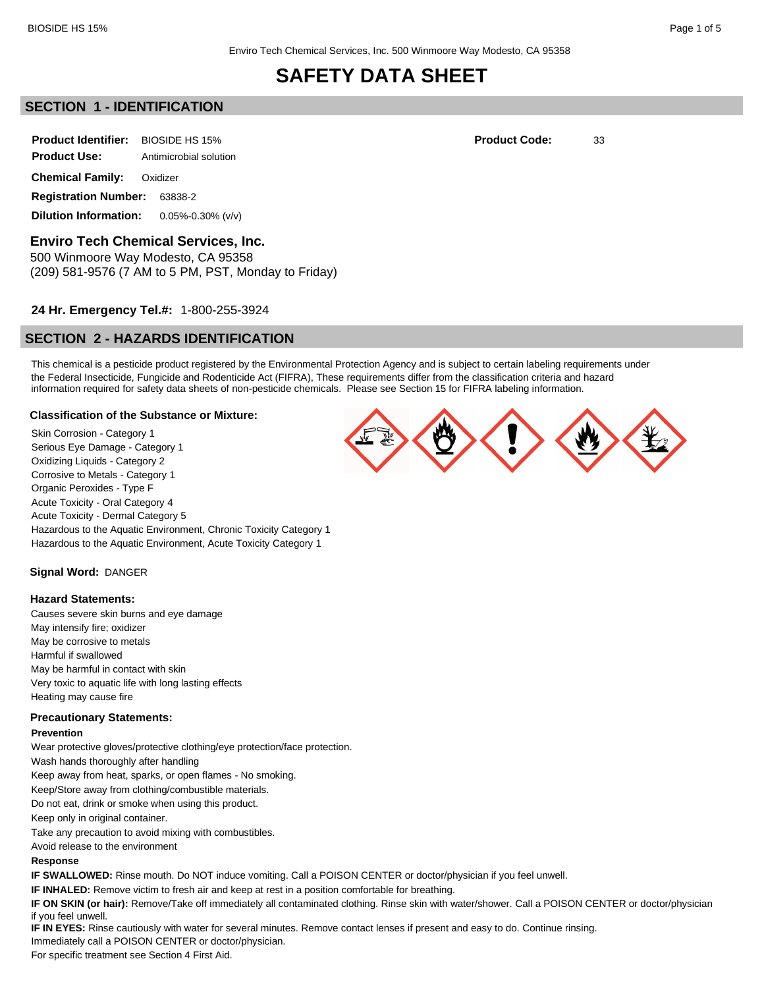# **SECTION 1 - IDENTIFICATION**

**Product Identifier:** BIOSIDE HS 15% **Product Code:** 33 **Product Use:** Antimicrobial solution **Chemical Family:** Oxidizer **Registration Number:** 63838-2

**Dilution Information:** 0.05%-0.30% (v/v)

**Enviro Tech Chemical Services, Inc.** 500 Winmoore Way Modesto, CA 95358

(209) 581-9576 (7 AM to 5 PM, PST, Monday to Friday)

### **24 Hr. Emergency Tel.#:** 1-800-255-3924

# **SECTION 2 - HAZARDS IDENTIFICATION**

This chemical is a pesticide product registered by the Environmental Protection Agency and is subject to certain labeling requirements under the Federal Insecticide, Fungicide and Rodenticide Act (FIFRA), These requirements differ from the classification criteria and hazard information required for safety data sheets of non-pesticide chemicals. Please see Section 15 for FIFRA labeling information.

#### **Classification of the Substance or Mixture:**

Skin Corrosion - Category 1 Serious Eye Damage - Category 1 Oxidizing Liquids - Category 2 Corrosive to Metals - Category 1 Organic Peroxides - Type F Acute Toxicity - Oral Category 4 Acute Toxicity - Dermal Category 5 Hazardous to the Aquatic Environment, Chronic Toxicity Category 1 Hazardous to the Aquatic Environment, Acute Toxicity Category 1

**Signal Word:** DANGER

#### **Hazard Statements:**

Causes severe skin burns and eye damage May intensify fire; oxidizer May be corrosive to metals Harmful if swallowed May be harmful in contact with skin Very toxic to aquatic life with long lasting effects Heating may cause fire

#### **Precautionary Statements:**

#### **Prevention**

Wear protective gloves/protective clothing/eye protection/face protection.

Wash hands thoroughly after handling

Keep away from heat, sparks, or open flames - No smoking.

Keep/Store away from clothing/combustible materials.

Do not eat, drink or smoke when using this product.

Keep only in original container.

Take any precaution to avoid mixing with combustibles.

Avoid release to the environment

#### **Response**

**IF SWALLOWED:** Rinse mouth. Do NOT induce vomiting. Call a POISON CENTER or doctor/physician if you feel unwell.

**IF INHALED:** Remove victim to fresh air and keep at rest in a position comfortable for breathing.

**IF ON SKIN (or hair):** Remove/Take off immediately all contaminated clothing. Rinse skin with water/shower. Call a POISON CENTER or doctor/physician if you feel unwell.

**IF IN EYES:** Rinse cautiously with water for several minutes. Remove contact lenses if present and easy to do. Continue rinsing. Immediately call a POISON CENTER or doctor/physician.

For specific treatment see Section 4 First Aid.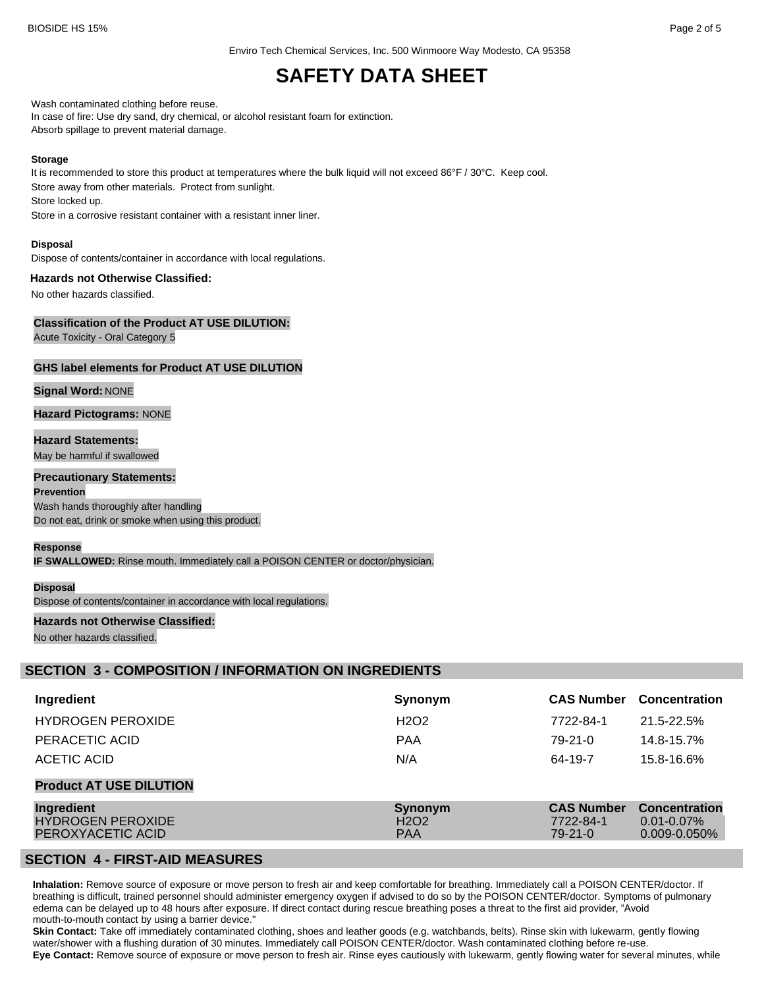Enviro Tech Chemical Services, Inc. 500 Winmoore Way Modesto, CA 95358

# **SAFETY DATA SHEET**

Wash contaminated clothing before reuse.

In case of fire: Use dry sand, dry chemical, or alcohol resistant foam for extinction. Absorb spillage to prevent material damage.

#### **Storage**

It is recommended to store this product at temperatures where the bulk liquid will not exceed 86°F / 30°C. Keep cool. Store away from other materials. Protect from sunlight. Store locked up. Store in a corrosive resistant container with a resistant inner liner.

**Disposal**

Dispose of contents/container in accordance with local regulations.

#### **Hazards not Otherwise Classified:**

No other hazards classified.

### **Classification of the Product AT USE DILUTION:**

Acute Toxicity - Oral Category 5

#### **GHS label elements for Product AT USE DILUTION**

#### **Signal Word:** NONE

**Hazard Pictograms:** NONE

**Hazard Statements:** May be harmful if swallowed

#### **Precautionary Statements:**

**Prevention** Wash hands thoroughly after handling Do not eat, drink or smoke when using this product.

#### **Response**

**IF SWALLOWED:** Rinse mouth. Immediately call a POISON CENTER or doctor/physician.

#### **Disposal**

Dispose of contents/container in accordance with local regulations.

#### **Hazards not Otherwise Classified:**

No other hazards classified.

### **SECTION 3 - COMPOSITION / INFORMATION ON INGREDIENTS**

| Ingredient                                                  | Synonym                                                | <b>CAS Number</b>                               | <b>Concentration</b>                                    |
|-------------------------------------------------------------|--------------------------------------------------------|-------------------------------------------------|---------------------------------------------------------|
| <b>HYDROGEN PEROXIDE</b>                                    | H <sub>2</sub> O <sub>2</sub>                          | 7722-84-1                                       | 21.5-22.5%                                              |
| PERACETIC ACID                                              | <b>PAA</b>                                             | $79-21-0$                                       | 14.8-15.7%                                              |
| ACETIC ACID                                                 | N/A                                                    | 64-19-7                                         | 15.8-16.6%                                              |
| <b>Product AT USE DILUTION</b>                              |                                                        |                                                 |                                                         |
| Ingredient<br><b>HYDROGEN PEROXIDE</b><br>PEROXYACETIC ACID | Synonym<br>H <sub>2</sub> O <sub>2</sub><br><b>PAA</b> | <b>CAS Number</b><br>7722-84-1<br>$79 - 21 - 0$ | <b>Concentration</b><br>$0.01 - 0.07\%$<br>0.009-0.050% |

# **SECTION 4 - FIRST-AID MEASURES**

**Inhalation:** Remove source of exposure or move person to fresh air and keep comfortable for breathing. Immediately call a POISON CENTER/doctor. If breathing is difficult, trained personnel should administer emergency oxygen if advised to do so by the POISON CENTER/doctor. Symptoms of pulmonary edema can be delayed up to 48 hours after exposure. If direct contact during rescue breathing poses a threat to the first aid provider, "Avoid mouth-to-mouth contact by using a barrier device."

**Skin Contact:** Take off immediately contaminated clothing, shoes and leather goods (e.g. watchbands, belts). Rinse skin with lukewarm, gently flowing water/shower with a flushing duration of 30 minutes. Immediately call POISON CENTER/doctor. Wash contaminated clothing before re-use. **Eye Contact:** Remove source of exposure or move person to fresh air. Rinse eyes cautiously with lukewarm, gently flowing water for several minutes, while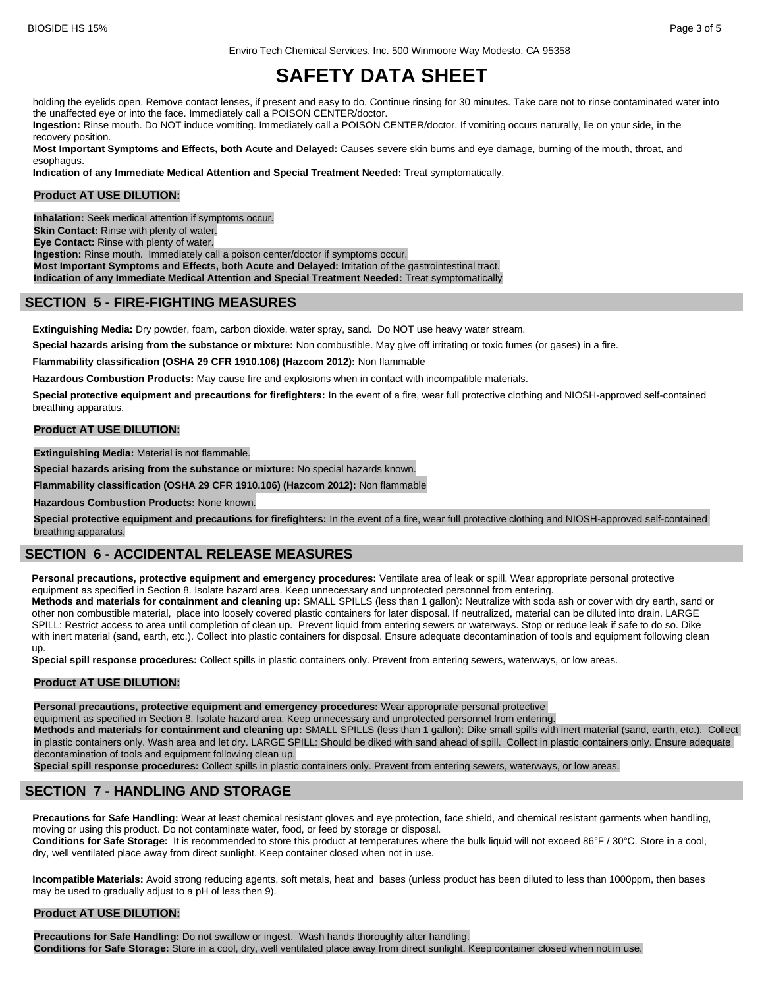Enviro Tech Chemical Services, Inc. 500 Winmoore Way Modesto, CA 95358

# **SAFETY DATA SHEET**

holding the eyelids open. Remove contact lenses, if present and easy to do. Continue rinsing for 30 minutes. Take care not to rinse contaminated water into the unaffected eye or into the face. Immediately call a POISON CENTER/doctor.

**Ingestion:** Rinse mouth. Do NOT induce vomiting. Immediately call a POISON CENTER/doctor. If vomiting occurs naturally, lie on your side, in the recovery position.

**Most Important Symptoms and Effects, both Acute and Delayed:** Causes severe skin burns and eye damage, burning of the mouth, throat, and esophagus.

**Indication of any Immediate Medical Attention and Special Treatment Needed:** Treat symptomatically.

#### **Product AT USE DILUTION:**

**Inhalation:** Seek medical attention if symptoms occur.

**Skin Contact:** Rinse with plenty of water.

**Eye Contact:** Rinse with plenty of water.

**Ingestion:** Rinse mouth. Immediately call a poison center/doctor if symptoms occur.

**Most Important Symptoms and Effects, both Acute and Delayed:** Irritation of the gastrointestinal tract. **Indication of any Immediate Medical Attention and Special Treatment Needed:** Treat symptomatically

# **SECTION 5 - FIRE-FIGHTING MEASURES**

**Extinguishing Media:** Dry powder, foam, carbon dioxide, water spray, sand. Do NOT use heavy water stream.

**Special hazards arising from the substance or mixture:** Non combustible. May give off irritating or toxic fumes (or gases) in a fire.

**Flammability classification (OSHA 29 CFR 1910.106) (Hazcom 2012):** Non flammable

**Hazardous Combustion Products:** May cause fire and explosions when in contact with incompatible materials.

**Special protective equipment and precautions for firefighters:** In the event of a fire, wear full protective clothing and NIOSH-approved self-contained breathing apparatus.

#### **Product AT USE DILUTION:**

**Extinguishing Media:** Material is not flammable.

**Special hazards arising from the substance or mixture:** No special hazards known.

**Flammability classification (OSHA 29 CFR 1910.106) (Hazcom 2012):** Non flammable

**Hazardous Combustion Products:** None known.

**Special protective equipment and precautions for firefighters:** In the event of a fire, wear full protective clothing and NIOSH-approved self-contained breathing apparatus.

# **SECTION 6 - ACCIDENTAL RELEASE MEASURES**

**Personal precautions, protective equipment and emergency procedures:** Ventilate area of leak or spill. Wear appropriate personal protective equipment as specified in Section 8. Isolate hazard area. Keep unnecessary and unprotected personnel from entering.

**Methods and materials for containment and cleaning up:** SMALL SPILLS (less than 1 gallon): Neutralize with soda ash or cover with dry earth, sand or other non combustible material, place into loosely covered plastic containers for later disposal. If neutralized, material can be diluted into drain. LARGE SPILL: Restrict access to area until completion of clean up. Prevent liquid from entering sewers or waterways. Stop or reduce leak if safe to do so. Dike with inert material (sand, earth, etc.). Collect into plastic containers for disposal. Ensure adequate decontamination of tools and equipment following clean up.

**Special spill response procedures:** Collect spills in plastic containers only. Prevent from entering sewers, waterways, or low areas.

#### **Product AT USE DILUTION:**

**Personal precautions, protective equipment and emergency procedures:** Wear appropriate personal protective

equipment as specified in Section 8. Isolate hazard area. Keep unnecessary and unprotected personnel from entering.

**Methods and materials for containment and cleaning up:** SMALL SPILLS (less than 1 gallon): Dike small spills with inert material (sand, earth, etc.). Collect in plastic containers only. Wash area and let dry. LARGE SPILL: Should be diked with sand ahead of spill. Collect in plastic containers only. Ensure adequate decontamination of tools and equipment following clean up.

**Special spill response procedures:** Collect spills in plastic containers only. Prevent from entering sewers, waterways, or low areas.

### **SECTION 7 - HANDLING AND STORAGE**

**Precautions for Safe Handling:** Wear at least chemical resistant gloves and eye protection, face shield, and chemical resistant garments when handling, moving or using this product. Do not contaminate water, food, or feed by storage or disposal.

**Conditions for Safe Storage:** It is recommended to store this product at temperatures where the bulk liquid will not exceed 86°F / 30°C. Store in a cool, dry, well ventilated place away from direct sunlight. Keep container closed when not in use.

**Incompatible Materials:** Avoid strong reducing agents, soft metals, heat and bases (unless product has been diluted to less than 1000ppm, then bases may be used to gradually adjust to a pH of less then 9).

#### **Product AT USE DILUTION:**

**Precautions for Safe Handling:** Do not swallow or ingest. Wash hands thoroughly after handling. **Conditions for Safe Storage:** Store in a cool, dry, well ventilated place away from direct sunlight. Keep container closed when not in use.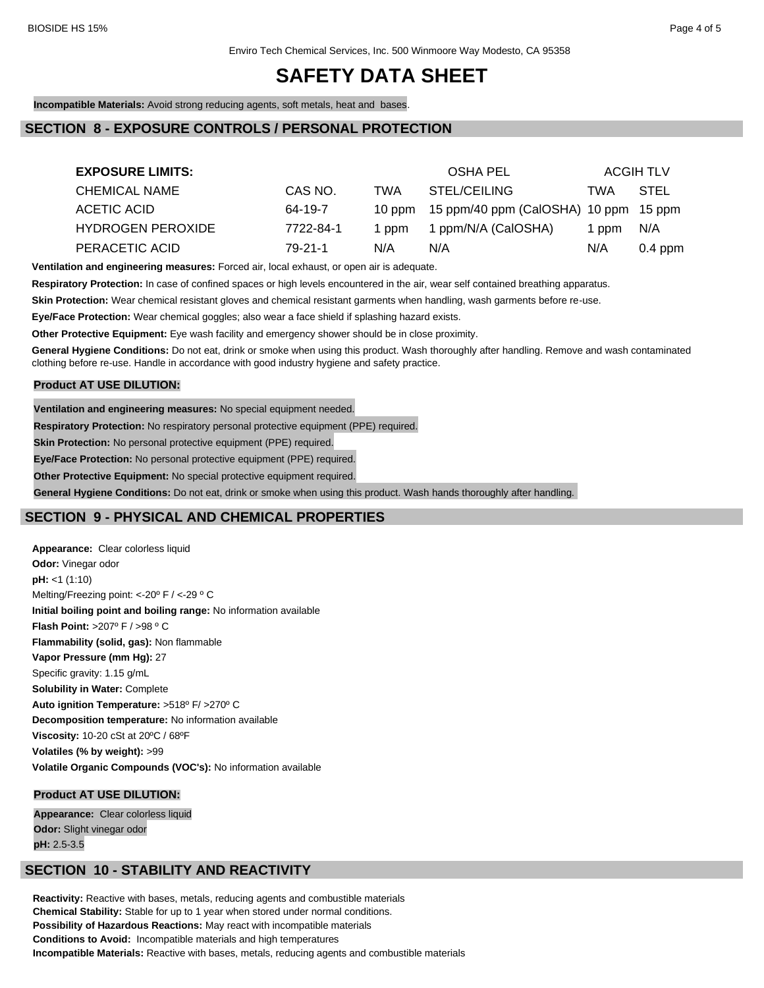**Incompatible Materials:** Avoid strong reducing agents, soft metals, heat and bases.

# **SECTION 8 - EXPOSURE CONTROLS / PERSONAL PROTECTION**

| <b>EXPOSURE LIMITS:</b>  |           |        | <b>OSHA PEL</b>                       |       | <b>ACGIH TLV</b> |
|--------------------------|-----------|--------|---------------------------------------|-------|------------------|
| CHEMICAL NAME            | CAS NO.   | TWA    | STEL/CEILING                          | TWA   | STEL             |
| ACETIC ACID              | 64-19-7   | 10 ppm | 15 ppm/40 ppm (CalOSHA) 10 ppm 15 ppm |       |                  |
| <b>HYDROGEN PEROXIDE</b> | 7722-84-1 | 1 ppm  | 1 ppm/N/A (CalOSHA)                   | 1 ppm | N/A              |
| PERACETIC ACID           | 79-21-1   | N/A    | N/A                                   | N/A   | $0.4$ ppm        |

**Ventilation and engineering measures:** Forced air, local exhaust, or open air is adequate.

**Respiratory Protection:** In case of confined spaces or high levels encountered in the air, wear self contained breathing apparatus.

**Skin Protection:** Wear chemical resistant gloves and chemical resistant garments when handling, wash garments before re-use.

**Eye/Face Protection:** Wear chemical goggles; also wear a face shield if splashing hazard exists.

**Other Protective Equipment:** Eye wash facility and emergency shower should be in close proximity.

**General Hygiene Conditions:** Do not eat, drink or smoke when using this product. Wash thoroughly after handling. Remove and wash contaminated clothing before re-use. Handle in accordance with good industry hygiene and safety practice.

#### **Product AT USE DILUTION:**

**Ventilation and engineering measures:** No special equipment needed.

**Respiratory Protection:** No respiratory personal protective equipment (PPE) required.

**Skin Protection:** No personal protective equipment (PPE) required.

**Eye/Face Protection:** No personal protective equipment (PPE) required.

**Other Protective Equipment:** No special protective equipment required.

**General Hygiene Conditions:** Do not eat, drink or smoke when using this product. Wash hands thoroughly after handling.

# **SECTION 9 - PHYSICAL AND CHEMICAL PROPERTIES**

**Appearance:** Clear colorless liquid **Odor:** Vinegar odor **pH:** <1 (1:10) Melting/Freezing point: <-20º F / <-29 º C **Initial boiling point and boiling range:** No information available **Flash Point:** >207º F / >98 º C **Flammability (solid, gas):** Non flammable **Vapor Pressure (mm Hg):** 27 Specific gravity: 1.15 g/mL **Solubility in Water:** Complete **Auto ignition Temperature:** >518º F/ >270º C **Decomposition temperature:** No information available **Viscosity:** 10-20 cSt at 20ºC / 68ºF **Volatiles (% by weight):** >99 **Volatile Organic Compounds (VOC's):** No information available

#### **Product AT USE DILUTION:**

**Appearance:** Clear colorless liquid **Odor:** Slight vinegar odor **pH:** 2.5-3.5

### **SECTION 10 - STABILITY AND REACTIVITY**

**Reactivity:** Reactive with bases, metals, reducing agents and combustible materials **Chemical Stability:** Stable for up to 1 year when stored under normal conditions. **Possibility of Hazardous Reactions:** May react with incompatible materials **Conditions to Avoid:** Incompatible materials and high temperatures **Incompatible Materials:** Reactive with bases, metals, reducing agents and combustible materials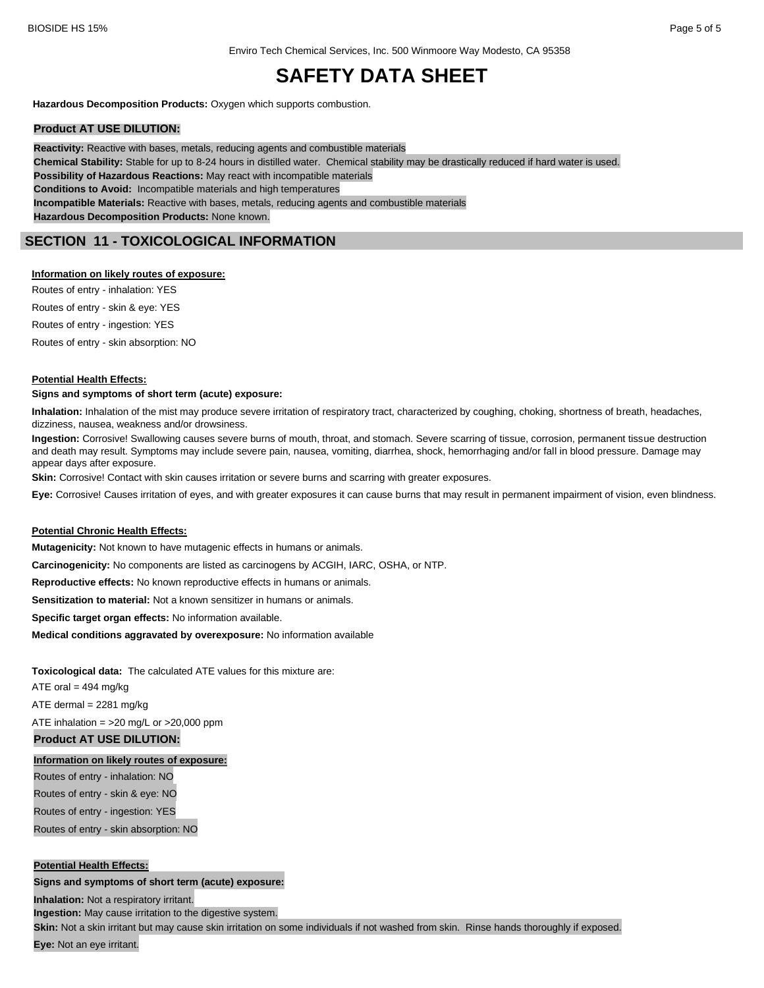**Hazardous Decomposition Products:** Oxygen which supports combustion.

#### **Product AT USE DILUTION:**

**Reactivity:** Reactive with bases, metals, reducing agents and combustible materials **Chemical Stability:** Stable for up to 8-24 hours in distilled water. Chemical stability may be drastically reduced if hard water is used. **Possibility of Hazardous Reactions:** May react with incompatible materials **Conditions to Avoid:** Incompatible materials and high temperatures **Incompatible Materials:** Reactive with bases, metals, reducing agents and combustible materials **Hazardous Decomposition Products:** None known.

# **SECTION 11 - TOXICOLOGICAL INFORMATION**

#### **Information on likely routes of exposure:**

Routes of entry - inhalation: YES Routes of entry - skin & eye: YES Routes of entry - ingestion: YES Routes of entry - skin absorption: NO

#### **Potential Health Effects:**

#### **Signs and symptoms of short term (acute) exposure:**

**Inhalation:** Inhalation of the mist may produce severe irritation of respiratory tract, characterized by coughing, choking, shortness of breath, headaches, dizziness, nausea, weakness and/or drowsiness.

**Ingestion:** Corrosive! Swallowing causes severe burns of mouth, throat, and stomach. Severe scarring of tissue, corrosion, permanent tissue destruction and death may result. Symptoms may include severe pain, nausea, vomiting, diarrhea, shock, hemorrhaging and/or fall in blood pressure. Damage may appear days after exposure.

**Skin:** Corrosive! Contact with skin causes irritation or severe burns and scarring with greater exposures.

**Eye:** Corrosive! Causes irritation of eyes, and with greater exposures it can cause burns that may result in permanent impairment of vision, even blindness.

#### **Potential Chronic Health Effects:**

**Mutagenicity:** Not known to have mutagenic effects in humans or animals.

**Carcinogenicity:** No components are listed as carcinogens by ACGIH, IARC, OSHA, or NTP.

**Reproductive effects:** No known reproductive effects in humans or animals.

**Sensitization to material:** Not a known sensitizer in humans or animals.

**Specific target organ effects:** No information available.

**Medical conditions aggravated by overexposure:** No information available

**Toxicological data:** The calculated ATE values for this mixture are:

ATE oral  $= 494$  mg/kg

ATE dermal  $= 2281$  mg/kg

ATE inhalation =  $>20$  mg/L or  $>20,000$  ppm

### **Product AT USE DILUTION:**

#### **Information on likely routes of exposure:**

Routes of entry - inhalation: NO Routes of entry - skin & eye: NO Routes of entry - ingestion: YES

Routes of entry - skin absorption: NO

#### **Potential Health Effects:**

#### **Signs and symptoms of short term (acute) exposure:**

**Inhalation:** Not a respiratory irritant.

**Ingestion:** May cause irritation to the digestive system.

Skin: Not a skin irritant but may cause skin irritation on some individuals if not washed from skin. Rinse hands thoroughly if exposed.

**Eye:** Not an eye irritant.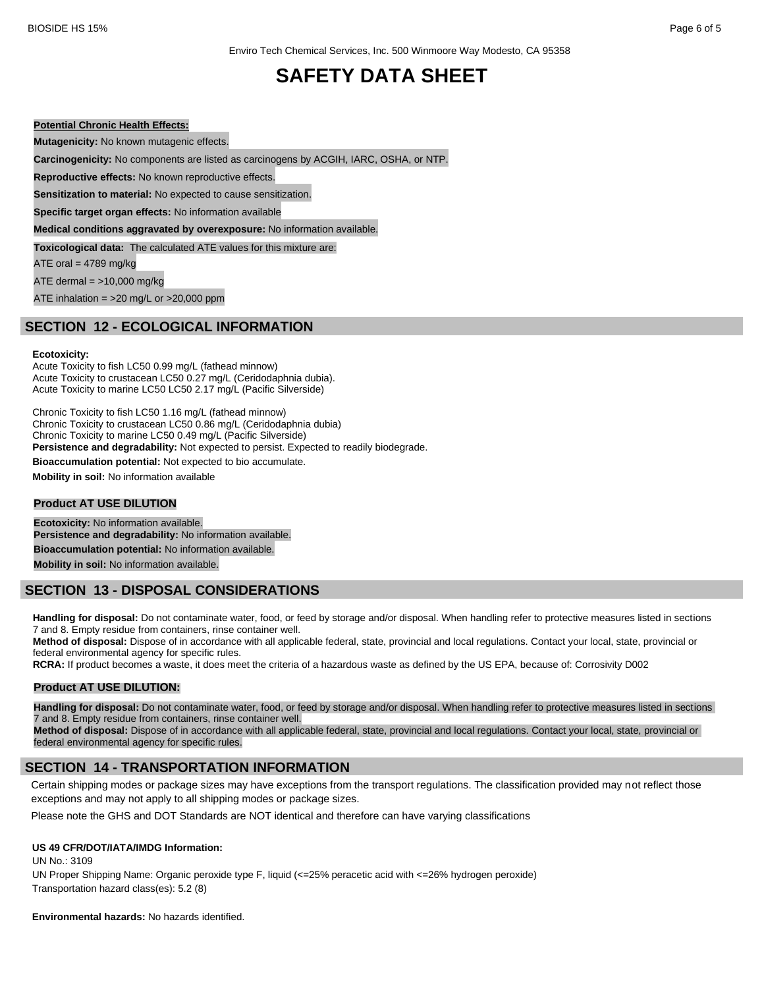#### **Potential Chronic Health Effects:**

**Mutagenicity:** No known mutagenic effects.

**Carcinogenicity:** No components are listed as carcinogens by ACGIH, IARC, OSHA, or NTP.

**Reproductive effects:** No known reproductive effects.

**Sensitization to material:** No expected to cause sensitization.

**Specific target organ effects:** No information available

**Medical conditions aggravated by overexposure:** No information available.

**Toxicological data:** The calculated ATE values for this mixture are:

ATE oral  $= 4789$  mg/kg

ATE dermal  $=$  >10,000 mg/kg

ATE inhalation =  $>20$  mg/L or  $>20,000$  ppm

# **SECTION 12 - ECOLOGICAL INFORMATION**

#### **Ecotoxicity:**

Acute Toxicity to fish LC50 0.99 mg/L (fathead minnow) Acute Toxicity to crustacean LC50 0.27 mg/L (Ceridodaphnia dubia). Acute Toxicity to marine LC50 LC50 2.17 mg/L (Pacific Silverside)

Chronic Toxicity to fish LC50 1.16 mg/L (fathead minnow) Chronic Toxicity to crustacean LC50 0.86 mg/L (Ceridodaphnia dubia) Chronic Toxicity to marine LC50 0.49 mg/L (Pacific Silverside) **Persistence and degradability:** Not expected to persist. Expected to readily biodegrade.

**Bioaccumulation potential:** Not expected to bio accumulate.

**Mobility in soil:** No information available

#### **Product AT USE DILUTION**

**Ecotoxicity:** No information available. **Persistence and degradability:** No information available. **Bioaccumulation potential:** No information available. **Mobility in soil:** No information available.

### **SECTION 13 - DISPOSAL CONSIDERATIONS**

Handling for disposal: Do not contaminate water, food, or feed by storage and/or disposal. When handling refer to protective measures listed in sections 7 and 8. Empty residue from containers, rinse container well.

**Method of disposal:** Dispose of in accordance with all applicable federal, state, provincial and local regulations. Contact your local, state, provincial or federal environmental agency for specific rules.

**RCRA:** If product becomes a waste, it does meet the criteria of a hazardous waste as defined by the US EPA, because of: Corrosivity D002

#### **Product AT USE DILUTION:**

**Handling for disposal:** Do not contaminate water, food, or feed by storage and/or disposal. When handling refer to protective measures listed in sections 7 and 8. Empty residue from containers, rinse container well.

**Method of disposal:** Dispose of in accordance with all applicable federal, state, provincial and local regulations. Contact your local, state, provincial or federal environmental agency for specific rules.

### **SECTION 14 - TRANSPORTATION INFORMATION**

Certain shipping modes or package sizes may have exceptions from the transport regulations. The classification provided may not reflect those exceptions and may not apply to all shipping modes or package sizes.

Please note the GHS and DOT Standards are NOT identical and therefore can have varying classifications

#### **US 49 CFR/DOT/IATA/IMDG Information:**

UN No.: 3109

UN Proper Shipping Name: Organic peroxide type F, liquid (<=25% peracetic acid with <=26% hydrogen peroxide) Transportation hazard class(es): 5.2 (8)

**Environmental hazards:** No hazards identified.